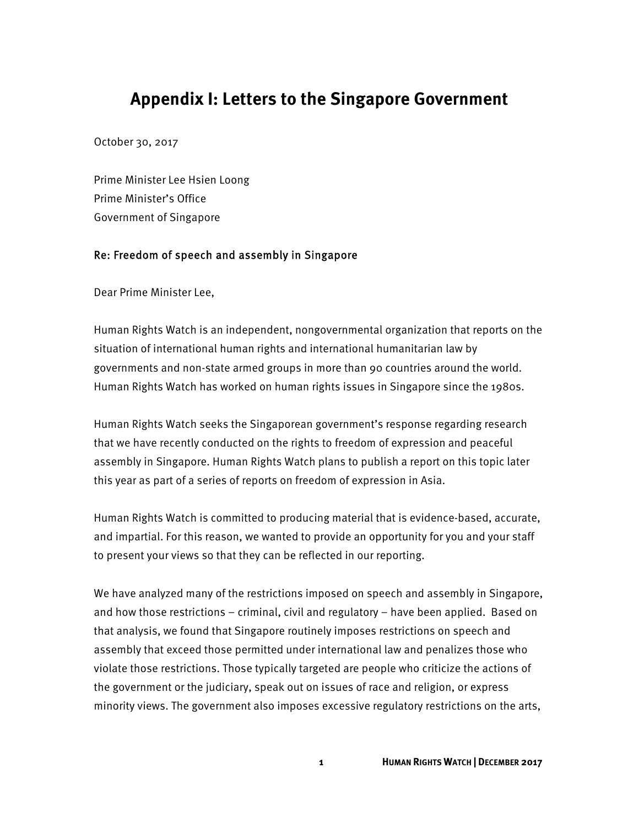# **Appendix I: Letters to the Singapore Government**

October 30, 2017

Prime Minister Lee Hsien Loong Prime Minister's Office Government of Singapore

#### Re: Freedom of speech and assembly in Singapore

Dear Prime Minister Lee,

Human Rights Watch is an independent, nongovernmental organization that reports on the situation of international human rights and international humanitarian law by governments and non-state armed groups in more than 90 countries around the world. Human Rights Watch has worked on human rights issues in Singapore since the 1980s.

Human Rights Watch seeks the Singaporean government's response regarding research that we have recently conducted on the rights to freedom of expression and peaceful assembly in Singapore. Human Rights Watch plans to publish a report on this topic later this year as part of a series of reports on freedom of expression in Asia.

Human Rights Watch is committed to producing material that is evidence-based, accurate, and impartial. For this reason, we wanted to provide an opportunity for you and your staff to present your views so that they can be reflected in our reporting.

We have analyzed many of the restrictions imposed on speech and assembly in Singapore, and how those restrictions – criminal, civil and regulatory – have been applied. Based on that analysis, we found that Singapore routinely imposes restrictions on speech and assembly that exceed those permitted under international law and penalizes those who violate those restrictions. Those typically targeted are people who criticize the actions of the government or the judiciary, speak out on issues of race and religion, or express minority views. The government also imposes excessive regulatory restrictions on the arts,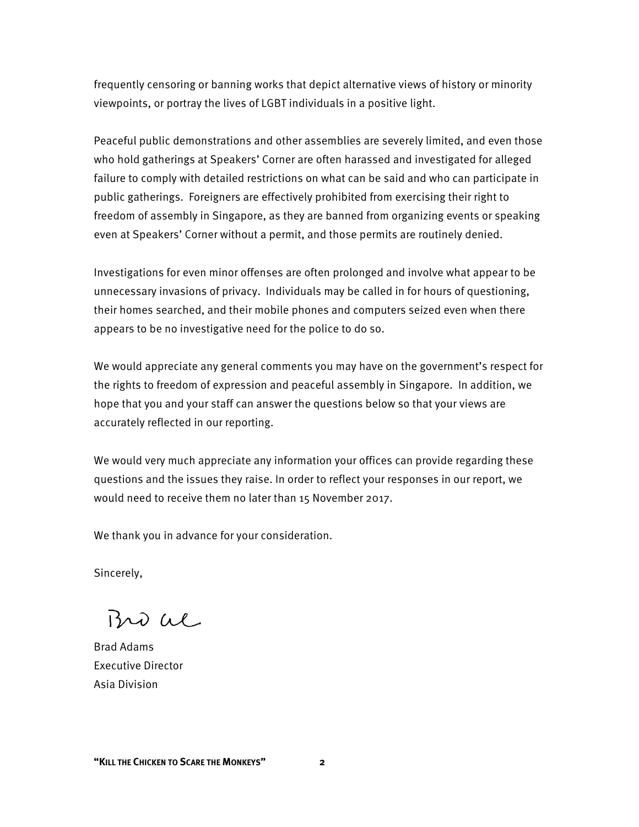frequently censoring or banning works that depict alternative views of history or minority viewpoints, or portray the lives of LGBT individuals in a positive light.

Peaceful public demonstrations and other assemblies are severely limited, and even those who hold gatherings at Speakers' Corner are often harassed and investigated for alleged failure to comply with detailed restrictions on what can be said and who can participate in public gatherings. Foreigners are effectively prohibited from exercising their right to freedom of assembly in Singapore, as they are banned from organizing events or speaking even at Speakers' Corner without a permit, and those permits are routinely denied.

Investigations for even minor offenses are often prolonged and involve what appear to be unnecessary invasions of privacy. Individuals may be called in for hours of questioning, their homes searched, and their mobile phones and computers seized even when there appears to be no investigative need for the police to do so.

We would appreciate any general comments you may have on the government's respect for the rights to freedom of expression and peaceful assembly in Singapore. In addition, we hope that you and your staff can answer the questions below so that your views are accurately reflected in our reporting.

We would very much appreciate any information your offices can provide regarding these questions and the issues they raise. In order to reflect your responses in our report, we would need to receive them no later than 15 November 2017.

We thank you in advance for your consideration.

Sincerely,

Bro al

Brad Adams Executive Director Asia Division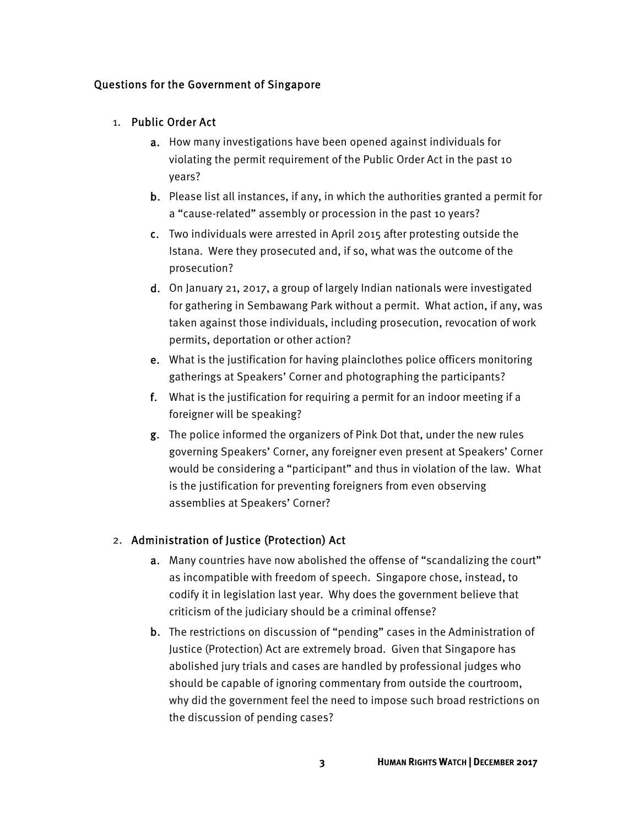## Questions for the Government of Singapore

### 1. Public Order Act

- a. How many investigations have been opened against individuals for violating the permit requirement of the Public Order Act in the past 10 years?
- b. Please list all instances, if any, in which the authorities granted a permit for a "cause-related" assembly or procession in the past 10 years?
- c. Two individuals were arrested in April 2015 after protesting outside the Istana. Were they prosecuted and, if so, what was the outcome of the prosecution?
- d. On January 21, 2017, a group of largely Indian nationals were investigated for gathering in Sembawang Park without a permit. What action, if any, was taken against those individuals, including prosecution, revocation of work permits, deportation or other action?
- e. What is the justification for having plainclothes police officers monitoring gatherings at Speakers' Corner and photographing the participants?
- f. What is the justification for requiring a permit for an indoor meeting if a foreigner will be speaking?
- g. The police informed the organizers of Pink Dot that, under the new rules governing Speakers' Corner, any foreigner even present at Speakers' Corner would be considering a "participant" and thus in violation of the law. What is the justification for preventing foreigners from even observing assemblies at Speakers' Corner?

## 2. Administration of Justice (Protection) Act

- a. Many countries have now abolished the offense of "scandalizing the court" as incompatible with freedom of speech. Singapore chose, instead, to codify it in legislation last year. Why does the government believe that criticism of the judiciary should be a criminal offense?
- b. The restrictions on discussion of "pending" cases in the Administration of Justice (Protection) Act are extremely broad. Given that Singapore has abolished jury trials and cases are handled by professional judges who should be capable of ignoring commentary from outside the courtroom, why did the government feel the need to impose such broad restrictions on the discussion of pending cases?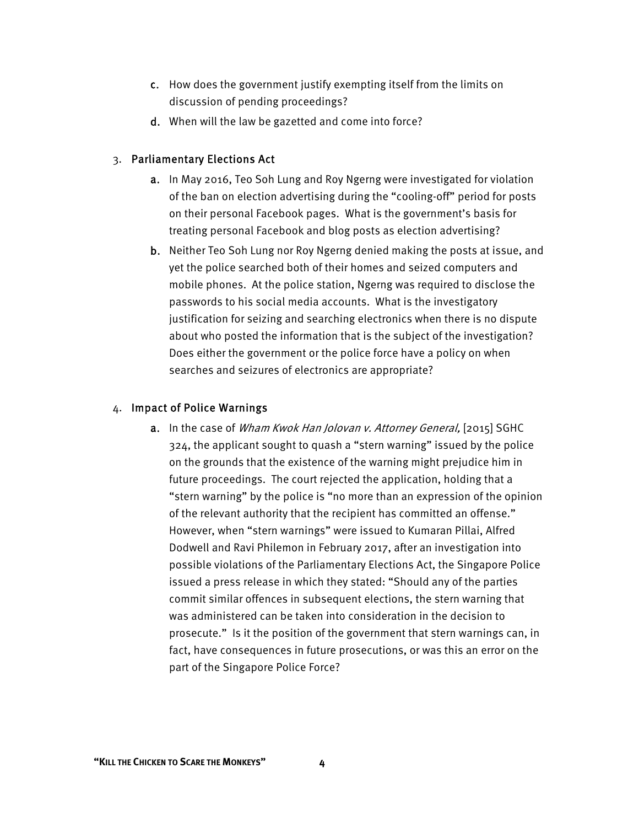- c. How does the government justify exempting itself from the limits on discussion of pending proceedings?
- d. When will the law be gazetted and come into force?

#### 3. Parliamentary Elections Act

- a. In May 2016, Teo Soh Lung and Roy Ngerng were investigated for violation of the ban on election advertising during the "cooling-off" period for posts on their personal Facebook pages. What is the government's basis for treating personal Facebook and blog posts as election advertising?
- b. Neither Teo Soh Lung nor Roy Ngerng denied making the posts at issue, and yet the police searched both of their homes and seized computers and mobile phones. At the police station, Ngerng was required to disclose the passwords to his social media accounts. What is the investigatory justification for seizing and searching electronics when there is no dispute about who posted the information that is the subject of the investigation? Does either the government or the police force have a policy on when searches and seizures of electronics are appropriate?

#### 4. Impact of Police Warnings

a. In the case of Wham Kwok Han Jolovan v. Attorney General, [2015] SGHC 324, the applicant sought to quash a "stern warning" issued by the police on the grounds that the existence of the warning might prejudice him in future proceedings. The court rejected the application, holding that a "stern warning" by the police is "no more than an expression of the opinion of the relevant authority that the recipient has committed an offense." However, when "stern warnings" were issued to Kumaran Pillai, Alfred Dodwell and Ravi Philemon in February 2017, after an investigation into possible violations of the Parliamentary Elections Act, the Singapore Police issued a press release in which they stated: "Should any of the parties commit similar offences in subsequent elections, the stern warning that was administered can be taken into consideration in the decision to prosecute." Is it the position of the government that stern warnings can, in fact, have consequences in future prosecutions, or was this an error on the part of the Singapore Police Force?